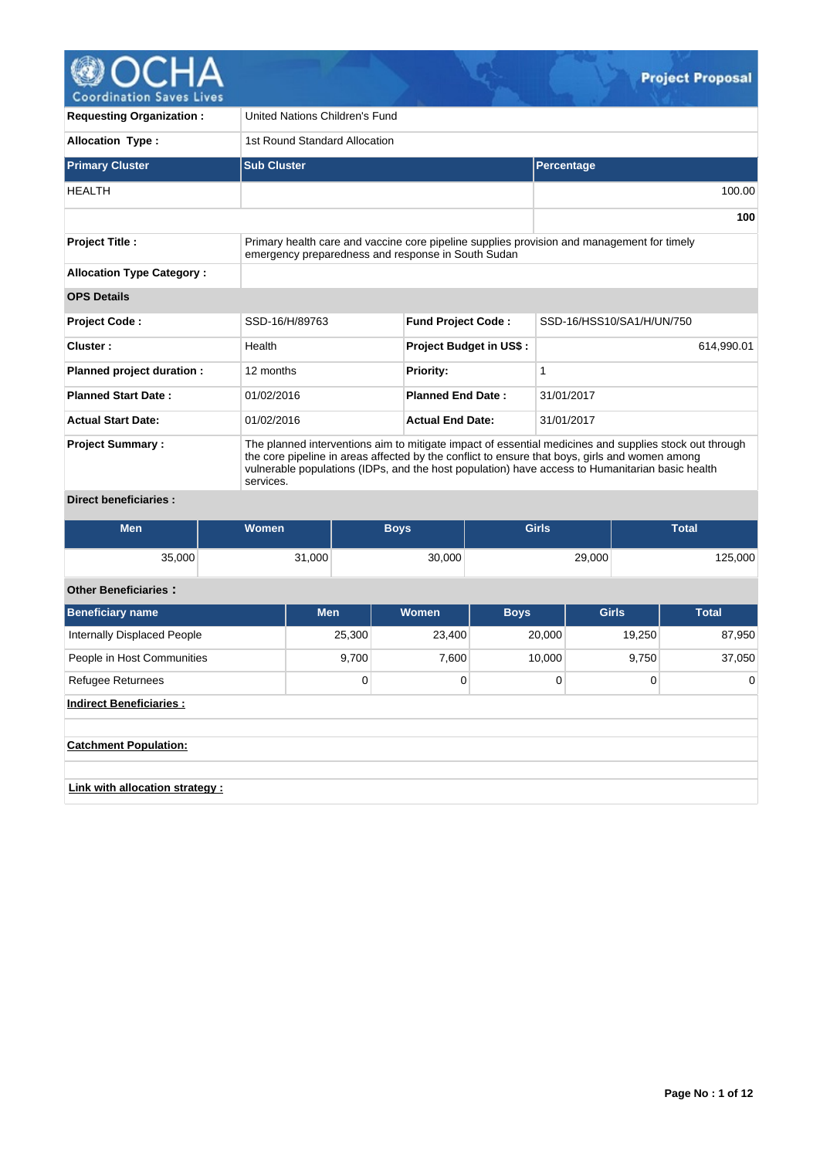

**Requesting Organization :** United Nations Children's Fund Allocation Type :  $\vert$  1st Round Standard Allocation **Primary Cluster Sub Cluster Sub Cluster Percentage Percentage** HEALTH 100.00 **100 Project Title :** Primary health care and vaccine core pipeline supplies provision and management for timely emergency preparedness and response in South Sudan **Allocation Type Category : OPS Details Project Code :** SSD-16/H/89763 **Fund Project Code :** SSD-16/HSS10/SA1/H/UN/750 **Cluster : Project Budget in US\$ : Project Budget in US\$** : 614,990.01 **Planned project duration :** 12 months **Priority: Priority:** 1 **Planned Start Date :** 01/02/2016 **Planned End Date :** 31/01/2017 **Actual Start Date:** 01/02/2016 **Actual End Date:** 31/01/2017 **Project Summary :** The planned interventions aim to mitigate impact of essential medicines and supplies stock out through the core pipeline in areas affected by the conflict to ensure that boys, girls and women among vulnerable populations (IDPs, and the host population) have access to Humanitarian basic health services.

# **Direct beneficiaries :**

| Men    | Women  | <b>Boys</b> | <b>Girls</b> | Total   |
|--------|--------|-------------|--------------|---------|
| 35,000 | 31,000 | 30,000      | 29,000       | 125,000 |

# **Other Beneficiaries :**

| <b>Beneficiary name</b>         | <b>Men</b> | Women  | <b>Boys</b> | <b>Girls</b> | <b>Total</b> |  |  |  |  |  |
|---------------------------------|------------|--------|-------------|--------------|--------------|--|--|--|--|--|
| Internally Displaced People     | 25,300     | 23,400 | 20,000      | 19,250       | 87,950       |  |  |  |  |  |
| People in Host Communities      | 9,700      | 7,600  | 10,000      | 9,750        | 37,050       |  |  |  |  |  |
| <b>Refugee Returnees</b>        | 0          | 0      | 0           | $\Omega$     | $\mathbf 0$  |  |  |  |  |  |
| <b>Indirect Beneficiaries:</b>  |            |        |             |              |              |  |  |  |  |  |
|                                 |            |        |             |              |              |  |  |  |  |  |
| <b>Catchment Population:</b>    |            |        |             |              |              |  |  |  |  |  |
|                                 |            |        |             |              |              |  |  |  |  |  |
| Link with allocation strategy : |            |        |             |              |              |  |  |  |  |  |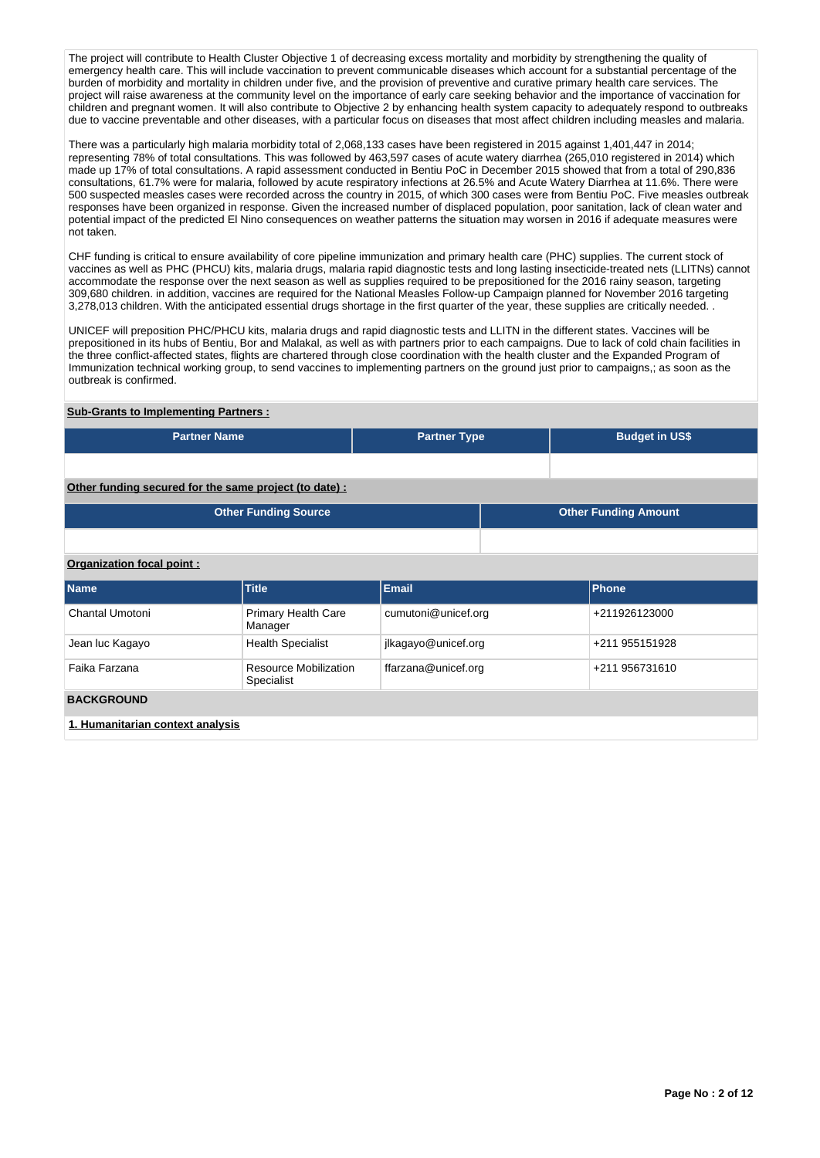The project will contribute to Health Cluster Objective 1 of decreasing excess mortality and morbidity by strengthening the quality of emergency health care. This will include vaccination to prevent communicable diseases which account for a substantial percentage of the burden of morbidity and mortality in children under five, and the provision of preventive and curative primary health care services. The project will raise awareness at the community level on the importance of early care seeking behavior and the importance of vaccination for children and pregnant women. It will also contribute to Objective 2 by enhancing health system capacity to adequately respond to outbreaks due to vaccine preventable and other diseases, with a particular focus on diseases that most affect children including measles and malaria.

There was a particularly high malaria morbidity total of 2,068,133 cases have been registered in 2015 against 1,401,447 in 2014; representing 78% of total consultations. This was followed by 463,597 cases of acute watery diarrhea (265,010 registered in 2014) which made up 17% of total consultations. A rapid assessment conducted in Bentiu PoC in December 2015 showed that from a total of 290,836 consultations, 61.7% were for malaria, followed by acute respiratory infections at 26.5% and Acute Watery Diarrhea at 11.6%. There were 500 suspected measles cases were recorded across the country in 2015, of which 300 cases were from Bentiu PoC. Five measles outbreak responses have been organized in response. Given the increased number of displaced population, poor sanitation, lack of clean water and potential impact of the predicted El Nino consequences on weather patterns the situation may worsen in 2016 if adequate measures were not taken.

CHF funding is critical to ensure availability of core pipeline immunization and primary health care (PHC) supplies. The current stock of vaccines as well as PHC (PHCU) kits, malaria drugs, malaria rapid diagnostic tests and long lasting insecticide-treated nets (LLITNs) cannot accommodate the response over the next season as well as supplies required to be prepositioned for the 2016 rainy season, targeting 309,680 children. in addition, vaccines are required for the National Measles Follow-up Campaign planned for November 2016 targeting 3,278,013 children. With the anticipated essential drugs shortage in the first quarter of the year, these supplies are critically needed. .

UNICEF will preposition PHC/PHCU kits, malaria drugs and rapid diagnostic tests and LLITN in the different states. Vaccines will be prepositioned in its hubs of Bentiu, Bor and Malakal, as well as with partners prior to each campaigns. Due to lack of cold chain facilities in the three conflict-affected states, flights are chartered through close coordination with the health cluster and the Expanded Program of Immunization technical working group, to send vaccines to implementing partners on the ground just prior to campaigns,; as soon as the outbreak is confirmed.

### **Sub-Grants to Implementing Partners :**

| <b>Partner Name</b> | <b>Partner Type</b> | <b>Budget in US\$</b> |
|---------------------|---------------------|-----------------------|
|                     |                     |                       |

**Other funding secured for the same project (to date) :**

| Other Funding Source | <b>Other Funding Amount</b> |
|----------------------|-----------------------------|
|                      |                             |

## **Organization focal point :**

| <b>Name</b>                      | <b>Title</b>                          | Email               | <b>Phone</b>   |  |  |  |  |  |
|----------------------------------|---------------------------------------|---------------------|----------------|--|--|--|--|--|
| Chantal Umotoni                  | <b>Primary Health Care</b><br>Manager | cumutoni@unicef.org | +211926123000  |  |  |  |  |  |
| Jean luc Kagayo                  | <b>Health Specialist</b>              | jlkagayo@unicef.org | +211 955151928 |  |  |  |  |  |
| Faika Farzana                    | Resource Mobilization<br>Specialist   | ffarzana@unicef.org | +211 956731610 |  |  |  |  |  |
| <b>BACKGROUND</b>                |                                       |                     |                |  |  |  |  |  |
| 1. Humanitarian context analysis |                                       |                     |                |  |  |  |  |  |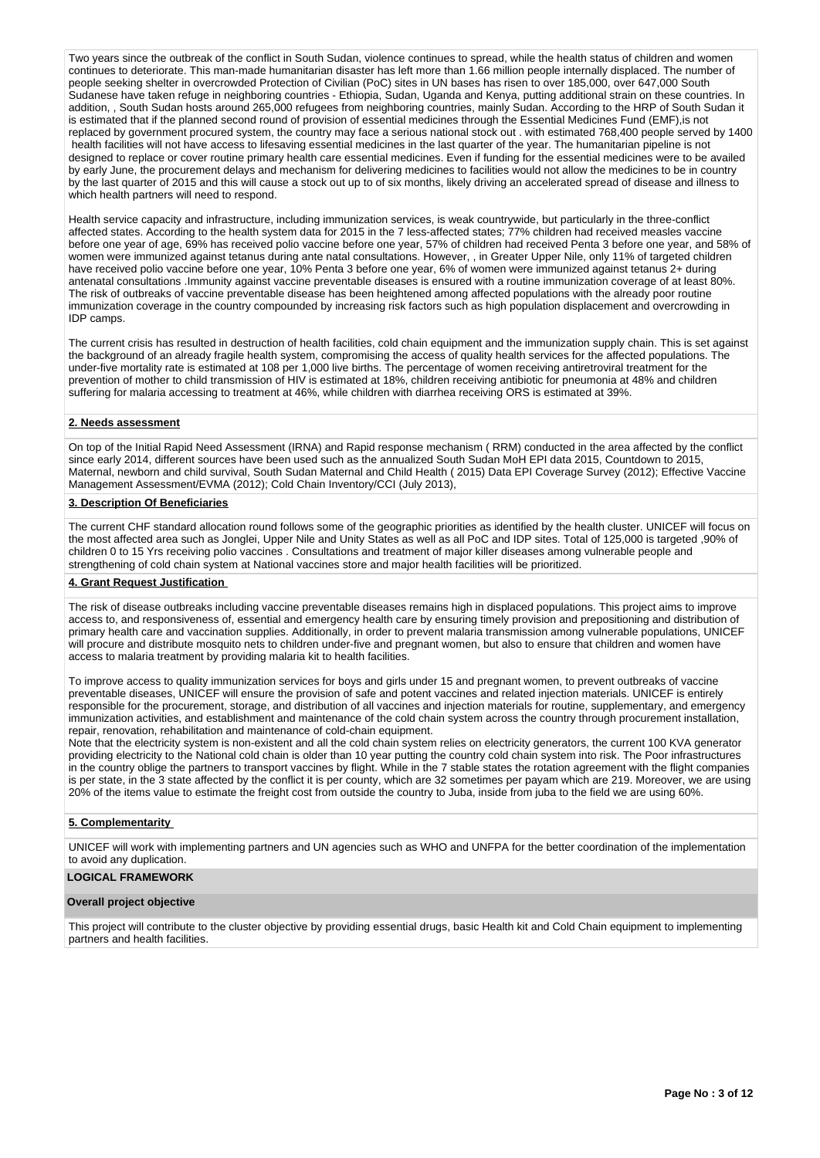Two years since the outbreak of the conflict in South Sudan, violence continues to spread, while the health status of children and women continues to deteriorate. This man-made humanitarian disaster has left more than 1.66 million people internally displaced. The number of people seeking shelter in overcrowded Protection of Civilian (PoC) sites in UN bases has risen to over 185,000, over 647,000 South Sudanese have taken refuge in neighboring countries - Ethiopia, Sudan, Uganda and Kenya, putting additional strain on these countries. In addition, , South Sudan hosts around 265,000 refugees from neighboring countries, mainly Sudan. According to the HRP of South Sudan it is estimated that if the planned second round of provision of essential medicines through the Essential Medicines Fund (EMF),is not replaced by government procured system, the country may face a serious national stock out . with estimated 768,400 people served by 1400 health facilities will not have access to lifesaving essential medicines in the last quarter of the year. The humanitarian pipeline is not designed to replace or cover routine primary health care essential medicines. Even if funding for the essential medicines were to be availed by early June, the procurement delays and mechanism for delivering medicines to facilities would not allow the medicines to be in country by the last quarter of 2015 and this will cause a stock out up to of six months, likely driving an accelerated spread of disease and illness to which health partners will need to respond.

Health service capacity and infrastructure, including immunization services, is weak countrywide, but particularly in the three-conflict affected states. According to the health system data for 2015 in the 7 less-affected states; 77% children had received measles vaccine before one year of age, 69% has received polio vaccine before one year, 57% of children had received Penta 3 before one year, and 58% of women were immunized against tetanus during ante natal consultations. However, , in Greater Upper Nile, only 11% of targeted children have received polio vaccine before one year, 10% Penta 3 before one year, 6% of women were immunized against tetanus 2+ during antenatal consultations .Immunity against vaccine preventable diseases is ensured with a routine immunization coverage of at least 80%. The risk of outbreaks of vaccine preventable disease has been heightened among affected populations with the already poor routine immunization coverage in the country compounded by increasing risk factors such as high population displacement and overcrowding in IDP camps.

The current crisis has resulted in destruction of health facilities, cold chain equipment and the immunization supply chain. This is set against the background of an already fragile health system, compromising the access of quality health services for the affected populations. The under-five mortality rate is estimated at 108 per 1,000 live births. The percentage of women receiving antiretroviral treatment for the prevention of mother to child transmission of HIV is estimated at 18%, children receiving antibiotic for pneumonia at 48% and children suffering for malaria accessing to treatment at 46%, while children with diarrhea receiving ORS is estimated at 39%.

### **2. Needs assessment**

On top of the Initial Rapid Need Assessment (IRNA) and Rapid response mechanism ( RRM) conducted in the area affected by the conflict since early 2014, different sources have been used such as the annualized South Sudan MoH EPI data 2015, Countdown to 2015, Maternal, newborn and child survival, South Sudan Maternal and Child Health ( 2015) Data EPI Coverage Survey (2012); Effective Vaccine Management Assessment/EVMA (2012); Cold Chain Inventory/CCI (July 2013),

## **3. Description Of Beneficiaries**

The current CHF standard allocation round follows some of the geographic priorities as identified by the health cluster. UNICEF will focus on the most affected area such as Jonglei, Upper Nile and Unity States as well as all PoC and IDP sites. Total of 125,000 is targeted ,90% of children 0 to 15 Yrs receiving polio vaccines . Consultations and treatment of major killer diseases among vulnerable people and strengthening of cold chain system at National vaccines store and major health facilities will be prioritized.

#### **4. Grant Request Justification**

The risk of disease outbreaks including vaccine preventable diseases remains high in displaced populations. This project aims to improve access to, and responsiveness of, essential and emergency health care by ensuring timely provision and prepositioning and distribution of primary health care and vaccination supplies. Additionally, in order to prevent malaria transmission among vulnerable populations, UNICEF will procure and distribute mosquito nets to children under-five and pregnant women, but also to ensure that children and women have access to malaria treatment by providing malaria kit to health facilities.

To improve access to quality immunization services for boys and girls under 15 and pregnant women, to prevent outbreaks of vaccine preventable diseases, UNICEF will ensure the provision of safe and potent vaccines and related injection materials. UNICEF is entirely responsible for the procurement, storage, and distribution of all vaccines and injection materials for routine, supplementary, and emergency immunization activities, and establishment and maintenance of the cold chain system across the country through procurement installation, repair, renovation, rehabilitation and maintenance of cold-chain equipment.

Note that the electricity system is non-existent and all the cold chain system relies on electricity generators, the current 100 KVA generator providing electricity to the National cold chain is older than 10 year putting the country cold chain system into risk. The Poor infrastructures in the country oblige the partners to transport vaccines by flight. While in the 7 stable states the rotation agreement with the flight companies is per state, in the 3 state affected by the conflict it is per county, which are 32 sometimes per payam which are 219. Moreover, we are using 20% of the items value to estimate the freight cost from outside the country to Juba, inside from juba to the field we are using 60%.

### **5. Complementarity**

UNICEF will work with implementing partners and UN agencies such as WHO and UNFPA for the better coordination of the implementation to avoid any duplication.

## **LOGICAL FRAMEWORK**

#### **Overall project objective**

This project will contribute to the cluster objective by providing essential drugs, basic Health kit and Cold Chain equipment to implementing partners and health facilities.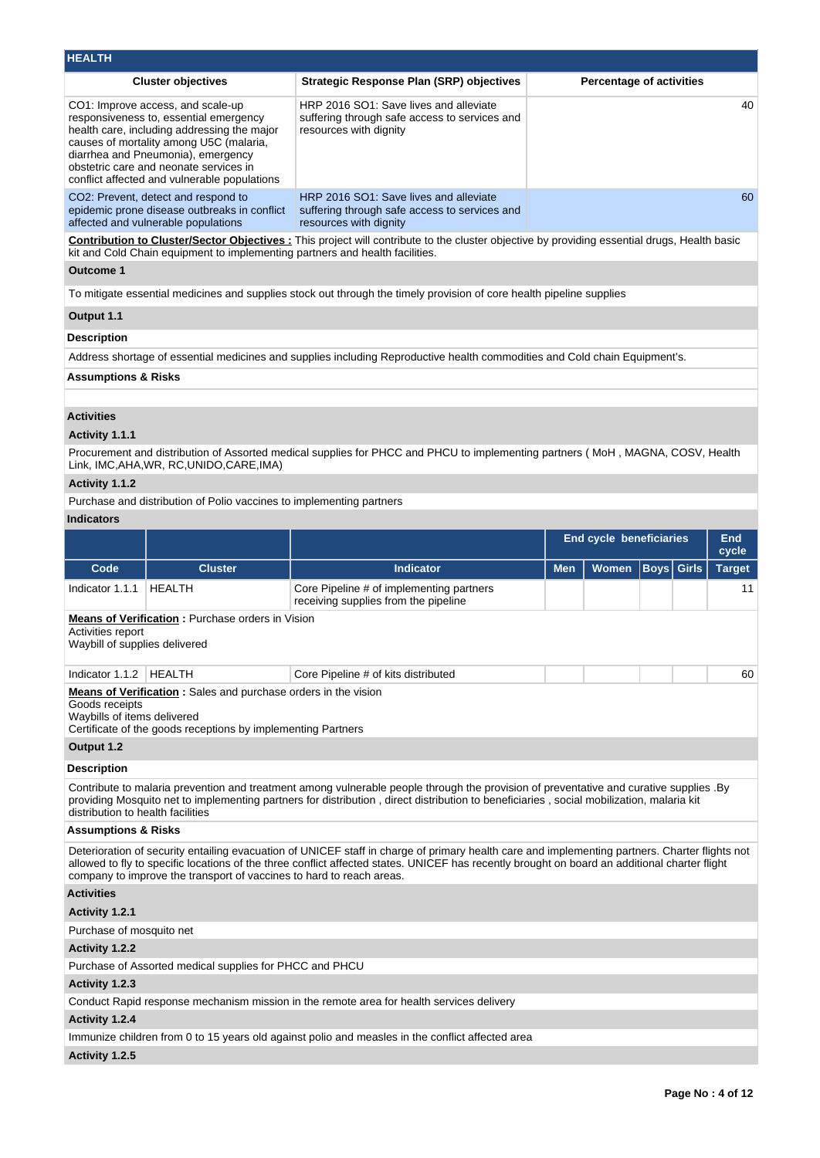| <b>HEALTH</b>                                      |                                                                                                                                                                                                                                                                                                       |                                                                                                                                                                                                                                                                                                 |                                |                                 |      |              |               |  |  |
|----------------------------------------------------|-------------------------------------------------------------------------------------------------------------------------------------------------------------------------------------------------------------------------------------------------------------------------------------------------------|-------------------------------------------------------------------------------------------------------------------------------------------------------------------------------------------------------------------------------------------------------------------------------------------------|--------------------------------|---------------------------------|------|--------------|---------------|--|--|
|                                                    | <b>Cluster objectives</b>                                                                                                                                                                                                                                                                             | <b>Strategic Response Plan (SRP) objectives</b>                                                                                                                                                                                                                                                 |                                | <b>Percentage of activities</b> |      |              |               |  |  |
|                                                    | CO1: Improve access, and scale-up<br>responsiveness to, essential emergency<br>health care, including addressing the major<br>causes of mortality among U5C (malaria,<br>diarrhea and Pneumonia), emergency<br>obstetric care and neonate services in<br>conflict affected and vulnerable populations | HRP 2016 SO1: Save lives and alleviate<br>suffering through safe access to services and<br>resources with dignity                                                                                                                                                                               |                                |                                 |      |              | 40            |  |  |
|                                                    | CO2: Prevent, detect and respond to<br>epidemic prone disease outbreaks in conflict<br>affected and vulnerable populations                                                                                                                                                                            | HRP 2016 SO1: Save lives and alleviate<br>60<br>suffering through safe access to services and<br>resources with dignity                                                                                                                                                                         |                                |                                 |      |              |               |  |  |
| <b>Outcome 1</b>                                   | kit and Cold Chain equipment to implementing partners and health facilities.                                                                                                                                                                                                                          | Contribution to Cluster/Sector Objectives : This project will contribute to the cluster objective by providing essential drugs, Health basic                                                                                                                                                    |                                |                                 |      |              |               |  |  |
|                                                    |                                                                                                                                                                                                                                                                                                       | To mitigate essential medicines and supplies stock out through the timely provision of core health pipeline supplies                                                                                                                                                                            |                                |                                 |      |              |               |  |  |
| Output 1.1                                         |                                                                                                                                                                                                                                                                                                       |                                                                                                                                                                                                                                                                                                 |                                |                                 |      |              |               |  |  |
| Description                                        |                                                                                                                                                                                                                                                                                                       |                                                                                                                                                                                                                                                                                                 |                                |                                 |      |              |               |  |  |
|                                                    |                                                                                                                                                                                                                                                                                                       | Address shortage of essential medicines and supplies including Reproductive health commodities and Cold chain Equipment's.                                                                                                                                                                      |                                |                                 |      |              |               |  |  |
| <b>Assumptions &amp; Risks</b>                     |                                                                                                                                                                                                                                                                                                       |                                                                                                                                                                                                                                                                                                 |                                |                                 |      |              |               |  |  |
|                                                    |                                                                                                                                                                                                                                                                                                       |                                                                                                                                                                                                                                                                                                 |                                |                                 |      |              |               |  |  |
| <b>Activities</b>                                  |                                                                                                                                                                                                                                                                                                       |                                                                                                                                                                                                                                                                                                 |                                |                                 |      |              |               |  |  |
| Activity 1.1.1                                     |                                                                                                                                                                                                                                                                                                       |                                                                                                                                                                                                                                                                                                 |                                |                                 |      |              |               |  |  |
|                                                    | Link, IMC, AHA, WR, RC, UNIDO, CARE, IMA)                                                                                                                                                                                                                                                             | Procurement and distribution of Assorted medical supplies for PHCC and PHCU to implementing partners (MoH, MAGNA, COSV, Health                                                                                                                                                                  |                                |                                 |      |              |               |  |  |
| Activity 1.1.2                                     |                                                                                                                                                                                                                                                                                                       |                                                                                                                                                                                                                                                                                                 |                                |                                 |      |              |               |  |  |
|                                                    | Purchase and distribution of Polio vaccines to implementing partners                                                                                                                                                                                                                                  |                                                                                                                                                                                                                                                                                                 |                                |                                 |      |              |               |  |  |
| <b>Indicators</b>                                  |                                                                                                                                                                                                                                                                                                       |                                                                                                                                                                                                                                                                                                 |                                |                                 |      |              |               |  |  |
|                                                    |                                                                                                                                                                                                                                                                                                       |                                                                                                                                                                                                                                                                                                 | <b>End cycle beneficiaries</b> |                                 |      |              | <b>End</b>    |  |  |
|                                                    |                                                                                                                                                                                                                                                                                                       |                                                                                                                                                                                                                                                                                                 |                                |                                 |      |              | cycle         |  |  |
| Code                                               | <b>Cluster</b>                                                                                                                                                                                                                                                                                        | <b>Indicator</b>                                                                                                                                                                                                                                                                                | <b>Men</b>                     | <b>Women</b>                    | Boys | <b>Girls</b> | <b>Target</b> |  |  |
| Indicator 1.1.1                                    | <b>HEALTH</b>                                                                                                                                                                                                                                                                                         | Core Pipeline # of implementing partners<br>receiving supplies from the pipeline                                                                                                                                                                                                                |                                |                                 |      |              | 11            |  |  |
| Activities report<br>Waybill of supplies delivered | Means of Verification : Purchase orders in Vision                                                                                                                                                                                                                                                     |                                                                                                                                                                                                                                                                                                 |                                |                                 |      |              |               |  |  |
| Indicator 1.1.2   HEALTH                           |                                                                                                                                                                                                                                                                                                       | Core Pipeline # of kits distributed                                                                                                                                                                                                                                                             |                                |                                 |      |              | 60            |  |  |
| Goods receipts<br>Waybills of items delivered      | <b>Means of Verification:</b> Sales and purchase orders in the vision<br>Certificate of the goods receptions by implementing Partners                                                                                                                                                                 |                                                                                                                                                                                                                                                                                                 |                                |                                 |      |              |               |  |  |
| Output 1.2                                         |                                                                                                                                                                                                                                                                                                       |                                                                                                                                                                                                                                                                                                 |                                |                                 |      |              |               |  |  |
| Description                                        |                                                                                                                                                                                                                                                                                                       |                                                                                                                                                                                                                                                                                                 |                                |                                 |      |              |               |  |  |
|                                                    |                                                                                                                                                                                                                                                                                                       | Contribute to malaria prevention and treatment among vulnerable people through the provision of preventative and curative supplies .By<br>providing Mosquito net to implementing partners for distribution, direct distribution to beneficiaries, social mobilization, malaria kit              |                                |                                 |      |              |               |  |  |
| distribution to health facilities                  |                                                                                                                                                                                                                                                                                                       |                                                                                                                                                                                                                                                                                                 |                                |                                 |      |              |               |  |  |
| <b>Assumptions &amp; Risks</b>                     |                                                                                                                                                                                                                                                                                                       | Deterioration of security entailing evacuation of UNICEF staff in charge of primary health care and implementing partners. Charter flights not<br>allowed to fly to specific locations of the three conflict affected states. UNICEF has recently brought on board an additional charter flight |                                |                                 |      |              |               |  |  |
|                                                    | company to improve the transport of vaccines to hard to reach areas.                                                                                                                                                                                                                                  |                                                                                                                                                                                                                                                                                                 |                                |                                 |      |              |               |  |  |
| <b>Activities</b>                                  |                                                                                                                                                                                                                                                                                                       |                                                                                                                                                                                                                                                                                                 |                                |                                 |      |              |               |  |  |
| Activity 1.2.1                                     |                                                                                                                                                                                                                                                                                                       |                                                                                                                                                                                                                                                                                                 |                                |                                 |      |              |               |  |  |
| Purchase of mosquito net                           |                                                                                                                                                                                                                                                                                                       |                                                                                                                                                                                                                                                                                                 |                                |                                 |      |              |               |  |  |
| <b>Activity 1.2.2</b>                              |                                                                                                                                                                                                                                                                                                       |                                                                                                                                                                                                                                                                                                 |                                |                                 |      |              |               |  |  |
|                                                    | Purchase of Assorted medical supplies for PHCC and PHCU                                                                                                                                                                                                                                               |                                                                                                                                                                                                                                                                                                 |                                |                                 |      |              |               |  |  |
| Activity 1.2.3                                     |                                                                                                                                                                                                                                                                                                       |                                                                                                                                                                                                                                                                                                 |                                |                                 |      |              |               |  |  |
| Activity 1.2.4                                     |                                                                                                                                                                                                                                                                                                       | Conduct Rapid response mechanism mission in the remote area for health services delivery                                                                                                                                                                                                        |                                |                                 |      |              |               |  |  |
|                                                    |                                                                                                                                                                                                                                                                                                       | Immunize children from 0 to 15 years old against polio and measles in the conflict affected area                                                                                                                                                                                                |                                |                                 |      |              |               |  |  |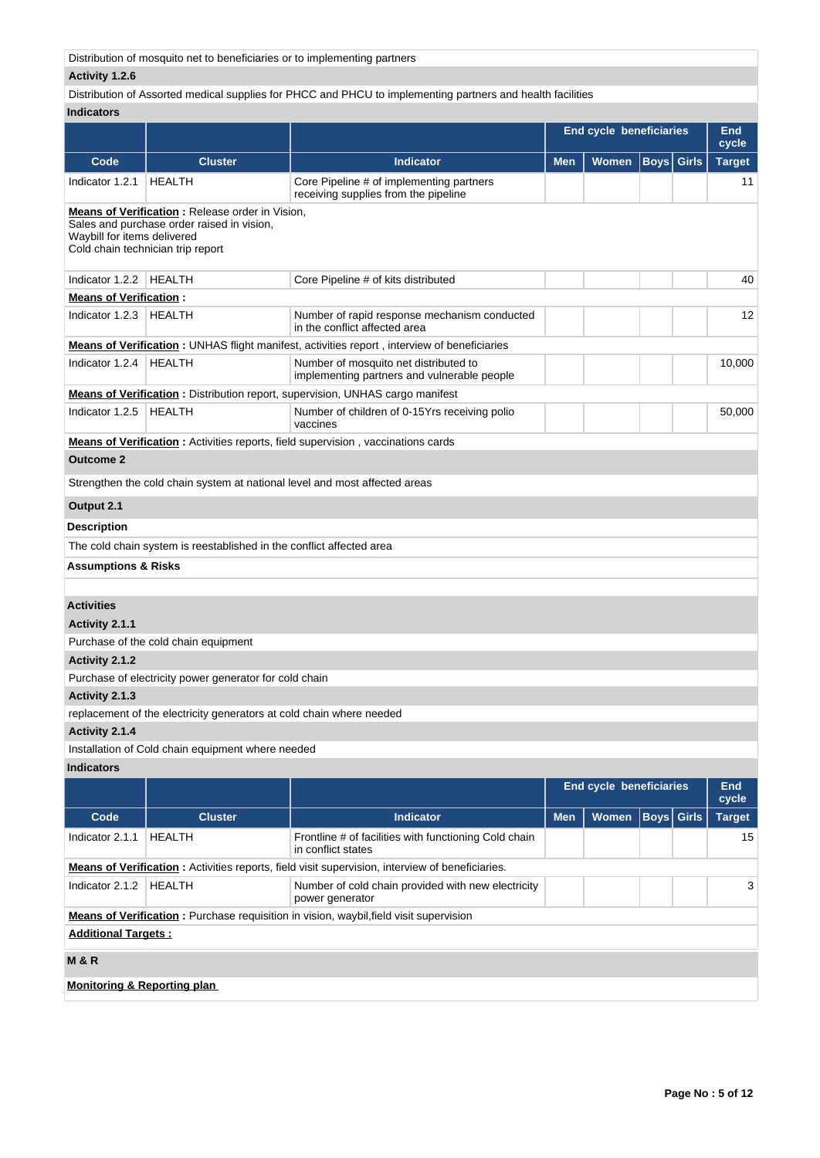Distribution of mosquito net to beneficiaries or to implementing partners

# **Activity 1.2.6**

# Distribution of Assorted medical supplies for PHCC and PHCU to implementing partners and health facilities

# **Indicators**

| iliuluatui a                           |                                                                                 |                                                                                                         | <b>End cycle beneficiaries</b> |                         |  |                   | End<br>cycle        |
|----------------------------------------|---------------------------------------------------------------------------------|---------------------------------------------------------------------------------------------------------|--------------------------------|-------------------------|--|-------------------|---------------------|
| Code                                   | <b>Cluster</b>                                                                  | <b>Indicator</b>                                                                                        | <b>Men</b>                     | <b>Women</b>            |  | <b>Boys</b> Girls | <b>Target</b>       |
| Indicator 1.2.1                        | <b>HEALTH</b>                                                                   | Core Pipeline # of implementing partners<br>receiving supplies from the pipeline                        |                                |                         |  |                   | 11                  |
|                                        | <b>Means of Verification:</b> Release order in Vision,                          |                                                                                                         |                                |                         |  |                   |                     |
| Waybill for items delivered            | Sales and purchase order raised in vision,<br>Cold chain technician trip report |                                                                                                         |                                |                         |  |                   |                     |
| Indicator 1.2.2                        | HEALTH                                                                          | Core Pipeline # of kits distributed                                                                     |                                |                         |  |                   | 40                  |
| <b>Means of Verification:</b>          |                                                                                 |                                                                                                         |                                |                         |  |                   |                     |
| Indicator 1.2.3                        | HEALTH                                                                          | Number of rapid response mechanism conducted<br>in the conflict affected area                           |                                |                         |  |                   | 12                  |
|                                        |                                                                                 | <b>Means of Verification</b> : UNHAS flight manifest, activities report, interview of beneficiaries     |                                |                         |  |                   |                     |
| Indicator 1.2.4                        | <b>HEALTH</b>                                                                   | Number of mosquito net distributed to<br>implementing partners and vulnerable people                    |                                |                         |  |                   | 10,000              |
|                                        |                                                                                 | <b>Means of Verification:</b> Distribution report, supervision, UNHAS cargo manifest                    |                                |                         |  |                   |                     |
| Indicator 1.2.5                        | <b>HEALTH</b>                                                                   | Number of children of 0-15Yrs receiving polio<br>vaccines                                               |                                |                         |  |                   | 50,000              |
|                                        |                                                                                 | <b>Means of Verification</b> : Activities reports, field supervision, vaccinations cards                |                                |                         |  |                   |                     |
| <b>Outcome 2</b>                       |                                                                                 |                                                                                                         |                                |                         |  |                   |                     |
|                                        | Strengthen the cold chain system at national level and most affected areas      |                                                                                                         |                                |                         |  |                   |                     |
| Output 2.1                             |                                                                                 |                                                                                                         |                                |                         |  |                   |                     |
| <b>Description</b>                     |                                                                                 |                                                                                                         |                                |                         |  |                   |                     |
|                                        | The cold chain system is reestablished in the conflict affected area            |                                                                                                         |                                |                         |  |                   |                     |
| <b>Assumptions &amp; Risks</b>         |                                                                                 |                                                                                                         |                                |                         |  |                   |                     |
|                                        |                                                                                 |                                                                                                         |                                |                         |  |                   |                     |
| <b>Activities</b>                      |                                                                                 |                                                                                                         |                                |                         |  |                   |                     |
| Activity 2.1.1                         |                                                                                 |                                                                                                         |                                |                         |  |                   |                     |
|                                        | Purchase of the cold chain equipment                                            |                                                                                                         |                                |                         |  |                   |                     |
| Activity 2.1.2                         |                                                                                 |                                                                                                         |                                |                         |  |                   |                     |
|                                        | Purchase of electricity power generator for cold chain                          |                                                                                                         |                                |                         |  |                   |                     |
| Activity 2.1.3                         |                                                                                 |                                                                                                         |                                |                         |  |                   |                     |
|                                        | replacement of the electricity generators at cold chain where needed            |                                                                                                         |                                |                         |  |                   |                     |
| Activity 2.1.4                         |                                                                                 |                                                                                                         |                                |                         |  |                   |                     |
|                                        | Installation of Cold chain equipment where needed                               |                                                                                                         |                                |                         |  |                   |                     |
| <b>Indicators</b>                      |                                                                                 |                                                                                                         |                                |                         |  |                   |                     |
|                                        |                                                                                 |                                                                                                         |                                | End cycle beneficiaries |  |                   | <b>End</b><br>cycle |
| Code                                   | <b>Cluster</b>                                                                  | <b>Indicator</b>                                                                                        | <b>Men</b>                     | Women                   |  | <b>Boys</b> Girls | <b>Target</b>       |
| Indicator 2.1.1                        | <b>HEALTH</b>                                                                   | Frontline # of facilities with functioning Cold chain<br>in conflict states                             |                                |                         |  |                   | 15                  |
|                                        |                                                                                 | <b>Means of Verification</b> : Activities reports, field visit supervision, interview of beneficiaries. |                                |                         |  |                   |                     |
| Indicator 2.1.2                        | <b>HEALTH</b>                                                                   | Number of cold chain provided with new electricity<br>power generator                                   |                                |                         |  |                   | 3                   |
|                                        |                                                                                 | <b>Means of Verification:</b> Purchase requisition in vision, waybil, field visit supervision           |                                |                         |  |                   |                     |
| <b>Additional Targets:</b>             |                                                                                 |                                                                                                         |                                |                         |  |                   |                     |
| <b>M&amp;R</b>                         |                                                                                 |                                                                                                         |                                |                         |  |                   |                     |
| <b>Monitoring &amp; Reporting plan</b> |                                                                                 |                                                                                                         |                                |                         |  |                   |                     |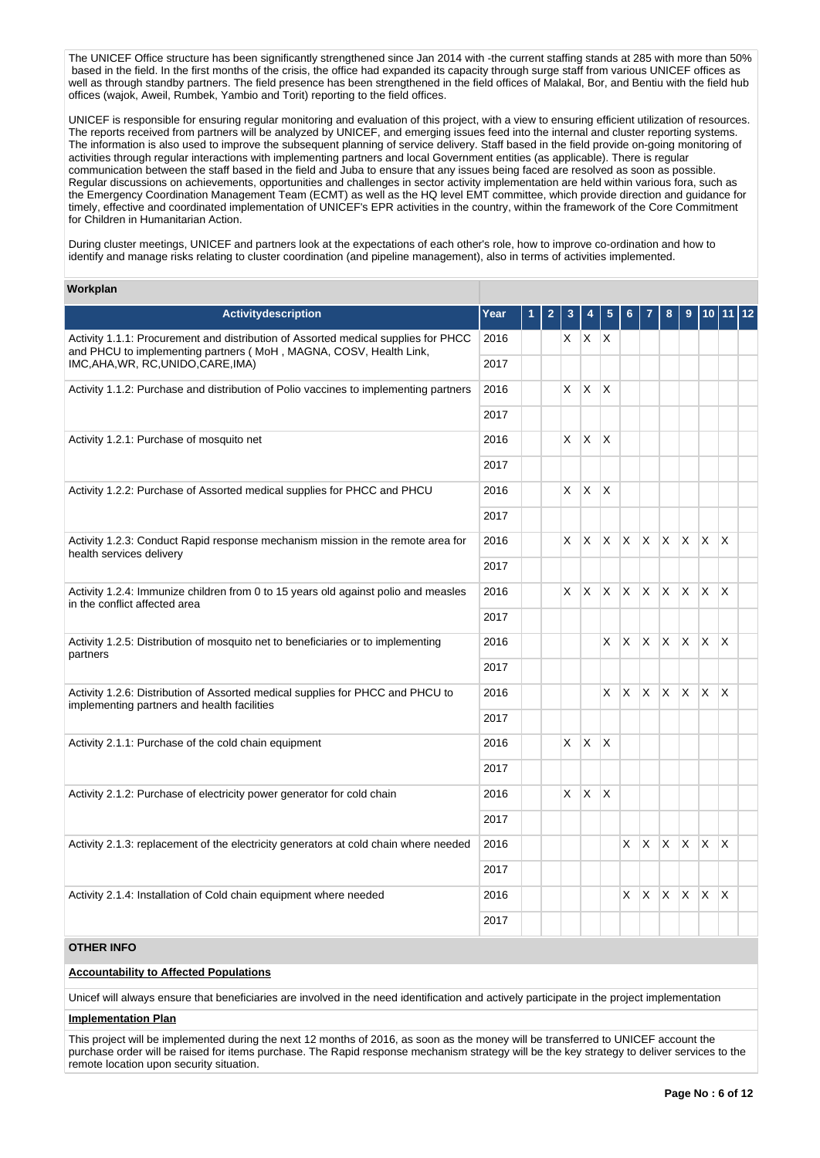The UNICEF Office structure has been significantly strengthened since Jan 2014 with -the current staffing stands at 285 with more than 50% based in the field. In the first months of the crisis, the office had expanded its capacity through surge staff from various UNICEF offices as well as through standby partners. The field presence has been strengthened in the field offices of Malakal, Bor, and Bentiu with the field hub offices (wajok, Aweil, Rumbek, Yambio and Torit) reporting to the field offices.

UNICEF is responsible for ensuring regular monitoring and evaluation of this project, with a view to ensuring efficient utilization of resources. The reports received from partners will be analyzed by UNICEF, and emerging issues feed into the internal and cluster reporting systems. The information is also used to improve the subsequent planning of service delivery. Staff based in the field provide on-going monitoring of activities through regular interactions with implementing partners and local Government entities (as applicable). There is regular communication between the staff based in the field and Juba to ensure that any issues being faced are resolved as soon as possible. Regular discussions on achievements, opportunities and challenges in sector activity implementation are held within various fora, such as the Emergency Coordination Management Team (ECMT) as well as the HQ level EMT committee, which provide direction and guidance for timely, effective and coordinated implementation of UNICEF's EPR activities in the country, within the framework of the Core Commitment for Children in Humanitarian Action.

During cluster meetings, UNICEF and partners look at the expectations of each other's role, how to improve co-ordination and how to identify and manage risks relating to cluster coordination (and pipeline management), also in terms of activities implemented.

#### **Workplan**

| Activitydescription                                                                                                                                     | Year | 2 | 3        |              |                         |     |                          |              |              |              |                         | $ 12\rangle$ |
|---------------------------------------------------------------------------------------------------------------------------------------------------------|------|---|----------|--------------|-------------------------|-----|--------------------------|--------------|--------------|--------------|-------------------------|--------------|
| Activity 1.1.1: Procurement and distribution of Assorted medical supplies for PHCC<br>and PHCU to implementing partners (MoH, MAGNA, COSV, Health Link, | 2016 |   |          | $X$ $X$ $X$  |                         |     |                          |              |              |              |                         |              |
| IMC, AHA, WR, RC, UNIDO, CARE, IMA)                                                                                                                     | 2017 |   |          |              |                         |     |                          |              |              |              |                         |              |
| Activity 1.1.2: Purchase and distribution of Polio vaccines to implementing partners                                                                    | 2016 |   | X        | $\mathsf{X}$ | X                       |     |                          |              |              |              |                         |              |
|                                                                                                                                                         | 2017 |   |          |              |                         |     |                          |              |              |              |                         |              |
| Activity 1.2.1: Purchase of mosquito net                                                                                                                | 2016 |   | X.       | X            | İΧ                      |     |                          |              |              |              |                         |              |
|                                                                                                                                                         | 2017 |   |          |              |                         |     |                          |              |              |              |                         |              |
| Activity 1.2.2: Purchase of Assorted medical supplies for PHCC and PHCU                                                                                 | 2016 |   | $\times$ | $\mathsf{X}$ | X                       |     |                          |              |              |              |                         |              |
|                                                                                                                                                         | 2017 |   |          |              |                         |     |                          |              |              |              |                         |              |
| Activity 1.2.3: Conduct Rapid response mechanism mission in the remote area for<br>health services delivery                                             | 2016 |   | $\times$ | $\times$     | <b>X</b>                |     | $x \mid x \mid x \mid x$ |              |              | IX.          | $\mathsf{X}$            |              |
|                                                                                                                                                         | 2017 |   |          |              |                         |     |                          |              |              |              |                         |              |
| Activity 1.2.4: Immunize children from 0 to 15 years old against polio and measles<br>in the conflict affected area                                     | 2016 |   | X.       | $\mathsf{X}$ | X.                      |     | $X$ $X$ $X$ $X$          |              |              | IX.          | $\mathsf{X}$            |              |
|                                                                                                                                                         | 2017 |   |          |              |                         |     |                          |              |              |              |                         |              |
| Activity 1.2.5: Distribution of mosquito net to beneficiaries or to implementing                                                                        | 2016 |   |          |              | X                       | X   | X.                       | $\mathsf{X}$ | $\mathsf{X}$ | X.           | $\mathsf{X}$            |              |
| partners                                                                                                                                                | 2017 |   |          |              |                         |     |                          |              |              |              |                         |              |
| Activity 1.2.6: Distribution of Assorted medical supplies for PHCC and PHCU to<br>implementing partners and health facilities                           | 2016 |   |          |              | X                       | ΙX. | $X$ $X$ $X$              |              |              | IX.          | $\mathsf{X}$            |              |
|                                                                                                                                                         | 2017 |   |          |              |                         |     |                          |              |              |              |                         |              |
| Activity 2.1.1: Purchase of the cold chain equipment                                                                                                    | 2016 |   | $\times$ | $\mathsf{X}$ | $\overline{\mathsf{x}}$ |     |                          |              |              |              |                         |              |
|                                                                                                                                                         | 2017 |   |          |              |                         |     |                          |              |              |              |                         |              |
| Activity 2.1.2: Purchase of electricity power generator for cold chain                                                                                  | 2016 |   | X.       | $\mathsf{X}$ | $\times$                |     |                          |              |              |              |                         |              |
|                                                                                                                                                         | 2017 |   |          |              |                         |     |                          |              |              |              |                         |              |
| Activity 2.1.3: replacement of the electricity generators at cold chain where needed                                                                    | 2016 |   |          |              |                         | X   | <sup>X</sup>             | X.           | $\times$     | $\mathsf{X}$ | $\mathsf{X}$            |              |
|                                                                                                                                                         | 2017 |   |          |              |                         |     |                          |              |              |              |                         |              |
| Activity 2.1.4: Installation of Cold chain equipment where needed                                                                                       | 2016 |   |          |              |                         | X.  | X                        | X            | X            | <b>X</b>     | $\overline{\mathsf{x}}$ |              |
|                                                                                                                                                         | 2017 |   |          |              |                         |     |                          |              |              |              |                         |              |
| <b>OTHER INFO</b>                                                                                                                                       |      |   |          |              |                         |     |                          |              |              |              |                         |              |

# **Accountability to Affected Populations**

Unicef will always ensure that beneficiaries are involved in the need identification and actively participate in the project implementation

### **Implementation Plan**

This project will be implemented during the next 12 months of 2016, as soon as the money will be transferred to UNICEF account the purchase order will be raised for items purchase. The Rapid response mechanism strategy will be the key strategy to deliver services to the remote location upon security situation.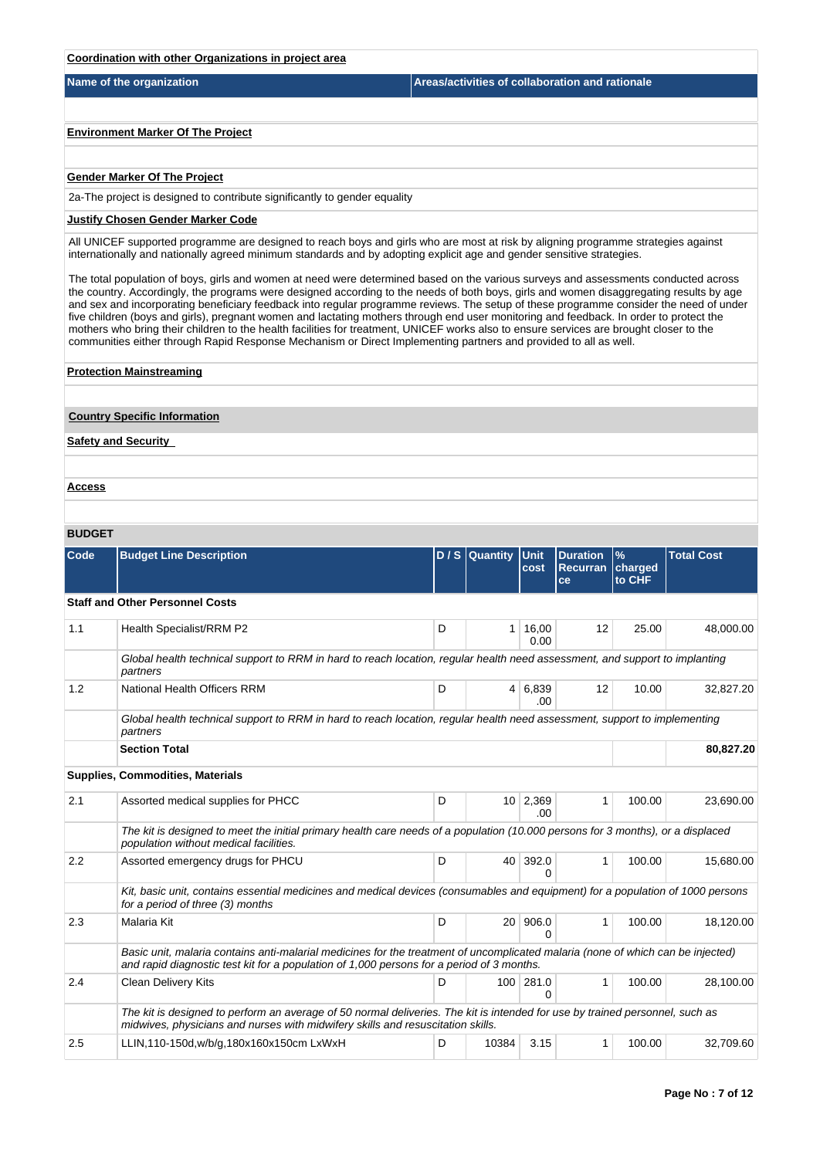## **Coordination with other Organizations in project area**

**Name of the organization Areas/activities of collaboration and rationale** 

**Environment Marker Of The Project**

### **Gender Marker Of The Project**

2a-The project is designed to contribute significantly to gender equality

## **Justify Chosen Gender Marker Code**

All UNICEF supported programme are designed to reach boys and girls who are most at risk by aligning programme strategies against internationally and nationally agreed minimum standards and by adopting explicit age and gender sensitive strategies.

The total population of boys, girls and women at need were determined based on the various surveys and assessments conducted across the country. Accordingly, the programs were designed according to the needs of both boys, girls and women disaggregating results by age and sex and incorporating beneficiary feedback into regular programme reviews. The setup of these programme consider the need of under five children (boys and girls), pregnant women and lactating mothers through end user monitoring and feedback. In order to protect the mothers who bring their children to the health facilities for treatment, UNICEF works also to ensure services are brought closer to the communities either through Rapid Response Mechanism or Direct Implementing partners and provided to all as well.

## **Protection Mainstreaming**

#### **Country Specific Information**

**Safety and Security** 

**Access**

# **BUDGET**

| <b>Code</b> | <b>Budget Line Description</b>                                                                                                                                                                                               |   | D / S Quantity Unit | cost              | <b>Duration</b><br><b>Recurran</b><br><b>ce</b> | $\frac{9}{6}$<br>charged<br>to CHF | <b>Total Cost</b> |
|-------------|------------------------------------------------------------------------------------------------------------------------------------------------------------------------------------------------------------------------------|---|---------------------|-------------------|-------------------------------------------------|------------------------------------|-------------------|
|             | <b>Staff and Other Personnel Costs</b>                                                                                                                                                                                       |   |                     |                   |                                                 |                                    |                   |
| 1.1         | Health Specialist/RRM P2                                                                                                                                                                                                     | D | 1                   | 16,00<br>0.00     | 12                                              | 25.00                              | 48,000.00         |
|             | Global health technical support to RRM in hard to reach location, regular health need assessment, and support to implanting<br>partners                                                                                      |   |                     |                   |                                                 |                                    |                   |
| 1.2         | National Health Officers RRM                                                                                                                                                                                                 | D | 4 <sup>1</sup>      | 6,839<br>.00      | 12                                              | 10.00                              | 32,827.20         |
|             | Global health technical support to RRM in hard to reach location, regular health need assessment, support to implementing<br>partners                                                                                        |   |                     |                   |                                                 |                                    |                   |
|             | <b>Section Total</b>                                                                                                                                                                                                         |   |                     |                   |                                                 |                                    | 80,827.20         |
|             | <b>Supplies, Commodities, Materials</b>                                                                                                                                                                                      |   |                     |                   |                                                 |                                    |                   |
| 2.1         | Assorted medical supplies for PHCC                                                                                                                                                                                           | D | 10 <sup>1</sup>     | 2,369<br>.00      | 1                                               | 100.00                             | 23,690.00         |
|             | The kit is designed to meet the initial primary health care needs of a population (10.000 persons for 3 months), or a displaced<br>population without medical facilities.                                                    |   |                     |                   |                                                 |                                    |                   |
| 2.2         | Assorted emergency drugs for PHCU                                                                                                                                                                                            | D | 40 <sup>1</sup>     | 392.0<br>$\Omega$ | $\mathbf{1}$                                    | 100.00                             | 15,680.00         |
|             | Kit, basic unit, contains essential medicines and medical devices (consumables and equipment) for a population of 1000 persons<br>for a period of three (3) months                                                           |   |                     |                   |                                                 |                                    |                   |
| 2.3         | <b>Malaria Kit</b>                                                                                                                                                                                                           | D | 20 <sup>1</sup>     | 906.0<br>$\Omega$ | 1                                               | 100.00                             | 18,120.00         |
|             | Basic unit, malaria contains anti-malarial medicines for the treatment of uncomplicated malaria (none of which can be injected)<br>and rapid diagnostic test kit for a population of 1,000 persons for a period of 3 months. |   |                     |                   |                                                 |                                    |                   |
| 2.4         | <b>Clean Delivery Kits</b>                                                                                                                                                                                                   | D | 100                 | 281.0<br>0        | $\mathbf{1}$                                    | 100.00                             | 28,100.00         |
|             | The kit is designed to perform an average of 50 normal deliveries. The kit is intended for use by trained personnel, such as<br>midwives, physicians and nurses with midwifery skills and resuscitation skills.              |   |                     |                   |                                                 |                                    |                   |
| 2.5         | LLIN, 110-150d, w/b/g, 180x160x150cm LxWxH                                                                                                                                                                                   | D | 10384               | 3.15              | $\mathbf{1}$                                    | 100.00                             | 32,709.60         |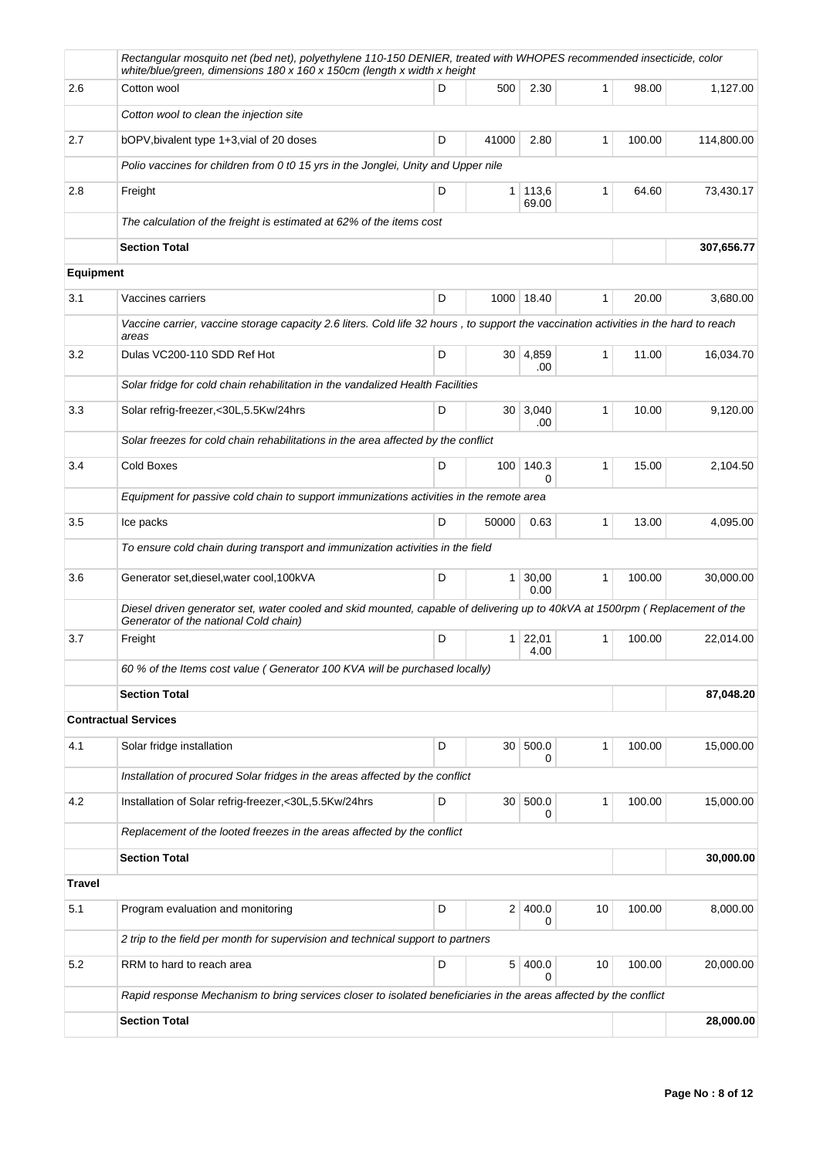|                  | Rectangular mosquito net (bed net), polyethylene 110-150 DENIER, treated with WHOPES recommended insecticide, color<br>white/blue/green, dimensions 180 x 160 x 150cm (length x width x height |   |                 |                   |              |        |            |
|------------------|------------------------------------------------------------------------------------------------------------------------------------------------------------------------------------------------|---|-----------------|-------------------|--------------|--------|------------|
| 2.6              | Cotton wool                                                                                                                                                                                    | D | 500             | 2.30              | 1            | 98.00  | 1.127.00   |
|                  | Cotton wool to clean the injection site                                                                                                                                                        |   |                 |                   |              |        |            |
| 2.7              | bOPV, bivalent type 1+3, vial of 20 doses                                                                                                                                                      | D | 41000           | 2.80              | 1            | 100.00 | 114,800.00 |
|                  | Polio vaccines for children from 0 t0 15 yrs in the Jonglei, Unity and Upper nile                                                                                                              |   |                 |                   |              |        |            |
| 2.8              | Freight                                                                                                                                                                                        | D | 1 <sup>1</sup>  | 113,6<br>69.00    | 1            | 64.60  | 73,430.17  |
|                  | The calculation of the freight is estimated at 62% of the items cost                                                                                                                           |   |                 |                   |              |        |            |
|                  | <b>Section Total</b>                                                                                                                                                                           |   |                 |                   |              |        | 307,656.77 |
| <b>Equipment</b> |                                                                                                                                                                                                |   |                 |                   |              |        |            |
| 3.1              | Vaccines carriers                                                                                                                                                                              | D |                 | 1000 18.40        | 1            | 20.00  | 3,680.00   |
|                  | Vaccine carrier, vaccine storage capacity 2.6 liters. Cold life 32 hours, to support the vaccination activities in the hard to reach<br>areas                                                  |   |                 |                   |              |        |            |
| 3.2              | Dulas VC200-110 SDD Ref Hot                                                                                                                                                                    | D |                 | 30   4,859<br>.00 | 1            | 11.00  | 16,034.70  |
|                  | Solar fridge for cold chain rehabilitation in the vandalized Health Facilities                                                                                                                 |   |                 |                   |              |        |            |
| 3.3              | Solar refrig-freezer,<30L,5.5Kw/24hrs                                                                                                                                                          | D |                 | 30   3,040<br>.00 | 1            | 10.00  | 9,120.00   |
|                  | Solar freezes for cold chain rehabilitations in the area affected by the conflict                                                                                                              |   |                 |                   |              |        |            |
| 3.4              | Cold Boxes                                                                                                                                                                                     | D | 100             | 140.3<br>0        | $\mathbf{1}$ | 15.00  | 2,104.50   |
|                  | Equipment for passive cold chain to support immunizations activities in the remote area                                                                                                        |   |                 |                   |              |        |            |
| 3.5              | Ice packs                                                                                                                                                                                      | D | 50000           | 0.63              | 1            | 13.00  | 4,095.00   |
|                  | To ensure cold chain during transport and immunization activities in the field                                                                                                                 |   |                 |                   |              |        |            |
| 3.6              | Generator set, diesel, water cool, 100kVA                                                                                                                                                      | D | 1 <sup>1</sup>  | 30,00<br>0.00     | 1            | 100.00 | 30,000.00  |
|                  | Diesel driven generator set, water cooled and skid mounted, capable of delivering up to 40kVA at 1500rpm (Replacement of the<br>Generator of the national Cold chain)                          |   |                 |                   |              |        |            |
| 3.7              | Freight                                                                                                                                                                                        | D | 1 <sup>1</sup>  | 22,01<br>4.00     | $\mathbf{1}$ | 100.00 | 22,014.00  |
|                  | 60 % of the Items cost value (Generator 100 KVA will be purchased locally)                                                                                                                     |   |                 |                   |              |        |            |
|                  | <b>Section Total</b>                                                                                                                                                                           |   |                 |                   |              |        | 87,048.20  |
|                  | <b>Contractual Services</b>                                                                                                                                                                    |   |                 |                   |              |        |            |
| 4.1              | Solar fridge installation                                                                                                                                                                      | D | 30 <sup>1</sup> | 500.0<br>0        | 1            | 100.00 | 15,000.00  |
|                  | Installation of procured Solar fridges in the areas affected by the conflict                                                                                                                   |   |                 |                   |              |        |            |
| 4.2              | Installation of Solar refrig-freezer,<30L,5.5Kw/24hrs                                                                                                                                          | D | 30              | 500.0<br>0        | 1            | 100.00 | 15,000.00  |
|                  | Replacement of the looted freezes in the areas affected by the conflict                                                                                                                        |   |                 |                   |              |        |            |
|                  | <b>Section Total</b>                                                                                                                                                                           |   |                 |                   |              |        | 30,000.00  |
| <b>Travel</b>    |                                                                                                                                                                                                |   |                 |                   |              |        |            |
| 5.1              | Program evaluation and monitoring                                                                                                                                                              | D | 2 <sup>1</sup>  | 400.0<br>0        | 10           | 100.00 | 8,000.00   |
|                  | 2 trip to the field per month for supervision and technical support to partners                                                                                                                |   |                 |                   |              |        |            |
| 5.2              | RRM to hard to reach area                                                                                                                                                                      | D | 5 <sup>1</sup>  | 400.0<br>0        | 10           | 100.00 | 20,000.00  |
|                  | Rapid response Mechanism to bring services closer to isolated beneficiaries in the areas affected by the conflict                                                                              |   |                 |                   |              |        |            |
|                  | <b>Section Total</b>                                                                                                                                                                           |   |                 |                   |              |        | 28,000.00  |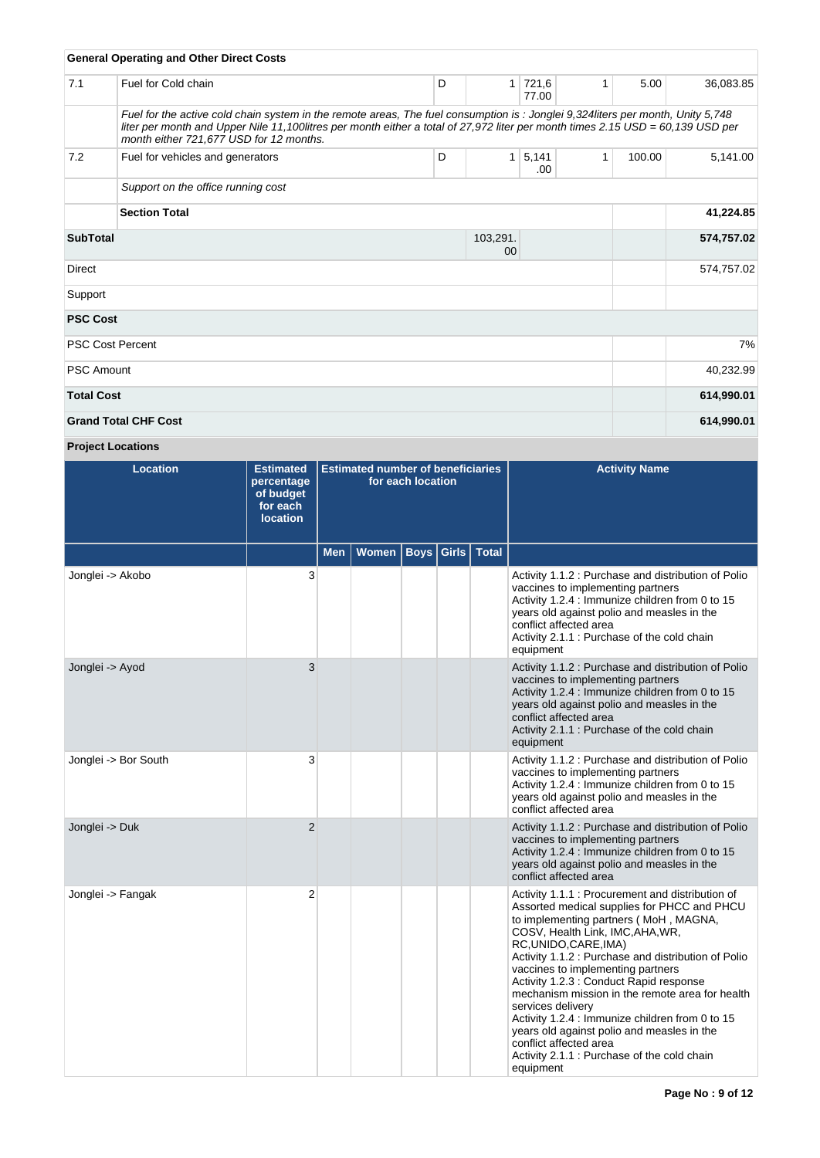|                                   | <b>General Operating and Other Direct Costs</b>                                                                                                                                                                                                                                                              |   |              |                |              |        |            |
|-----------------------------------|--------------------------------------------------------------------------------------------------------------------------------------------------------------------------------------------------------------------------------------------------------------------------------------------------------------|---|--------------|----------------|--------------|--------|------------|
| 7.1                               | Fuel for Cold chain                                                                                                                                                                                                                                                                                          | D | 1            | 721,6<br>77.00 | 1            | 5.00   | 36,083.85  |
|                                   | Fuel for the active cold chain system in the remote areas, The fuel consumption is: Jonglei 9,324 liters per month, Unity 5,748<br>liter per month and Upper Nile 11,100litres per month either a total of 27,972 liter per month times 2.15 USD = 60,139 USD per<br>month either 721,677 USD for 12 months. |   |              |                |              |        |            |
| 7.2                               | Fuel for vehicles and generators                                                                                                                                                                                                                                                                             | D | $\mathbf{1}$ | 5,141<br>.00   | $\mathbf{1}$ | 100.00 | 5,141.00   |
|                                   | Support on the office running cost                                                                                                                                                                                                                                                                           |   |              |                |              |        |            |
| <b>Section Total</b>              |                                                                                                                                                                                                                                                                                                              |   |              |                |              |        | 41,224.85  |
| <b>SubTotal</b><br>103,291.<br>00 |                                                                                                                                                                                                                                                                                                              |   |              |                |              |        | 574,757.02 |
| Direct                            |                                                                                                                                                                                                                                                                                                              |   |              |                |              |        | 574,757.02 |
| Support                           |                                                                                                                                                                                                                                                                                                              |   |              |                |              |        |            |
| <b>PSC Cost</b>                   |                                                                                                                                                                                                                                                                                                              |   |              |                |              |        |            |
|                                   | <b>PSC Cost Percent</b>                                                                                                                                                                                                                                                                                      |   |              |                |              |        | 7%         |
| <b>PSC Amount</b>                 |                                                                                                                                                                                                                                                                                                              |   |              |                |              |        | 40,232.99  |
| <b>Total Cost</b>                 |                                                                                                                                                                                                                                                                                                              |   |              |                |              |        | 614,990.01 |
|                                   | <b>Grand Total CHF Cost</b>                                                                                                                                                                                                                                                                                  |   |              |                |              |        | 614,990.01 |

**Project Locations**

| <b>Location</b>      | <b>Estimated</b><br>percentage<br>of budget<br>for each<br><b>location</b> | <b>Estimated number of beneficiaries</b><br>for each location |                              |  |  | <b>Activity Name</b>                                                                                                                                                                                                                                                                                                                                                                                                                                                                                                                                                                                        |
|----------------------|----------------------------------------------------------------------------|---------------------------------------------------------------|------------------------------|--|--|-------------------------------------------------------------------------------------------------------------------------------------------------------------------------------------------------------------------------------------------------------------------------------------------------------------------------------------------------------------------------------------------------------------------------------------------------------------------------------------------------------------------------------------------------------------------------------------------------------------|
|                      |                                                                            | <b>Men</b>                                                    | Women   Boys   Girls   Total |  |  |                                                                                                                                                                                                                                                                                                                                                                                                                                                                                                                                                                                                             |
| Jonglei -> Akobo     | 3                                                                          |                                                               |                              |  |  | Activity 1.1.2 : Purchase and distribution of Polio<br>vaccines to implementing partners<br>Activity 1.2.4 : Immunize children from 0 to 15<br>years old against polio and measles in the<br>conflict affected area<br>Activity 2.1.1 : Purchase of the cold chain<br>equipment                                                                                                                                                                                                                                                                                                                             |
| Jonglei -> Ayod      | 3                                                                          |                                                               |                              |  |  | Activity 1.1.2 : Purchase and distribution of Polio<br>vaccines to implementing partners<br>Activity 1.2.4 : Immunize children from 0 to 15<br>years old against polio and measles in the<br>conflict affected area<br>Activity 2.1.1 : Purchase of the cold chain<br>equipment                                                                                                                                                                                                                                                                                                                             |
| Jonglei -> Bor South | 3                                                                          |                                                               |                              |  |  | Activity 1.1.2 : Purchase and distribution of Polio<br>vaccines to implementing partners<br>Activity 1.2.4 : Immunize children from 0 to 15<br>years old against polio and measles in the<br>conflict affected area                                                                                                                                                                                                                                                                                                                                                                                         |
| Jonglei -> Duk       | $\overline{2}$                                                             |                                                               |                              |  |  | Activity 1.1.2 : Purchase and distribution of Polio<br>vaccines to implementing partners<br>Activity 1.2.4 : Immunize children from 0 to 15<br>years old against polio and measles in the<br>conflict affected area                                                                                                                                                                                                                                                                                                                                                                                         |
| Jonglei -> Fangak    | $\overline{2}$                                                             |                                                               |                              |  |  | Activity 1.1.1 : Procurement and distribution of<br>Assorted medical supplies for PHCC and PHCU<br>to implementing partners (MoH, MAGNA,<br>COSV, Health Link, IMC, AHA, WR,<br>RC, UNIDO, CARE, IMA)<br>Activity 1.1.2 : Purchase and distribution of Polio<br>vaccines to implementing partners<br>Activity 1.2.3 : Conduct Rapid response<br>mechanism mission in the remote area for health<br>services delivery<br>Activity 1.2.4 : Immunize children from 0 to 15<br>years old against polio and measles in the<br>conflict affected area<br>Activity 2.1.1 : Purchase of the cold chain<br>equipment |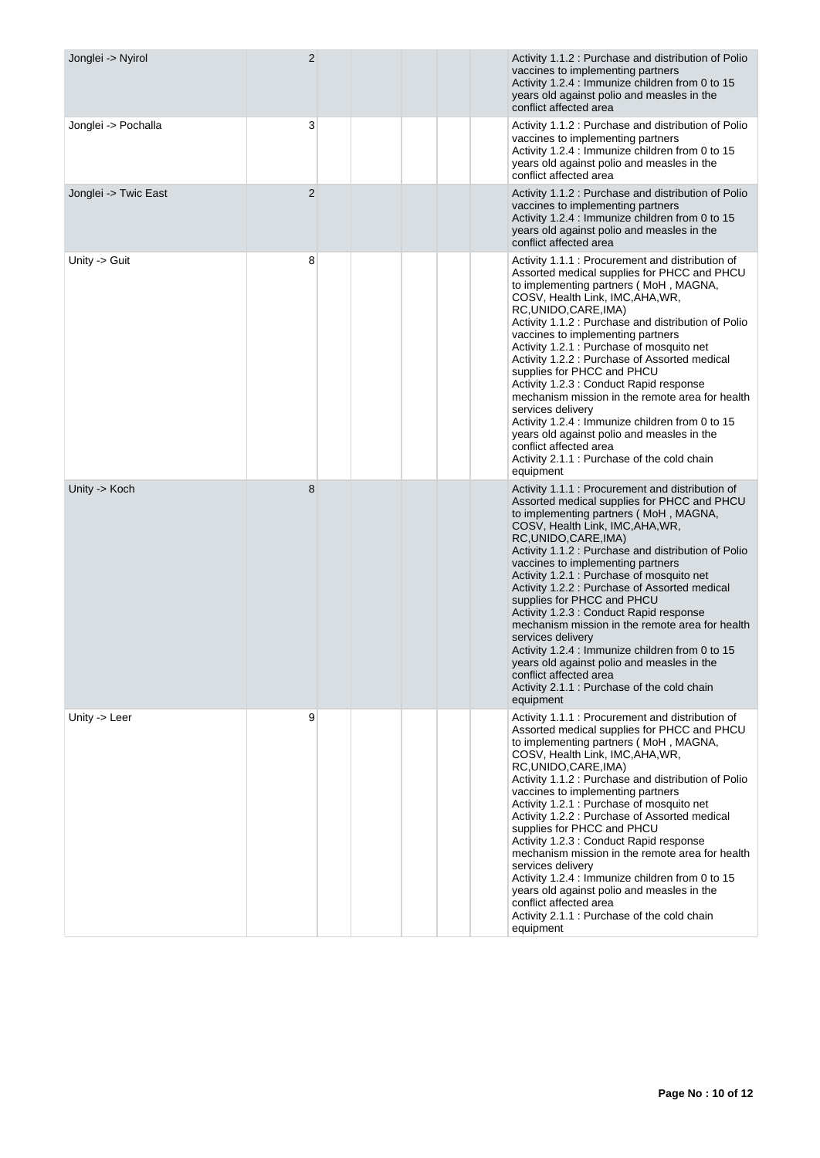| Jonglei -> Nyirol    | $\overline{2}$ | Activity 1.1.2 : Purchase and distribution of Polio<br>vaccines to implementing partners<br>Activity 1.2.4 : Immunize children from 0 to 15<br>years old against polio and measles in the<br>conflict affected area                                                                                                                                                                                                                                                                                                                                                                                                                                                                                                                     |
|----------------------|----------------|-----------------------------------------------------------------------------------------------------------------------------------------------------------------------------------------------------------------------------------------------------------------------------------------------------------------------------------------------------------------------------------------------------------------------------------------------------------------------------------------------------------------------------------------------------------------------------------------------------------------------------------------------------------------------------------------------------------------------------------------|
| Jonglei -> Pochalla  | 3              | Activity 1.1.2 : Purchase and distribution of Polio<br>vaccines to implementing partners<br>Activity 1.2.4 : Immunize children from 0 to 15<br>years old against polio and measles in the<br>conflict affected area                                                                                                                                                                                                                                                                                                                                                                                                                                                                                                                     |
| Jonglei -> Twic East | $\overline{2}$ | Activity 1.1.2 : Purchase and distribution of Polio<br>vaccines to implementing partners<br>Activity 1.2.4 : Immunize children from 0 to 15<br>years old against polio and measles in the<br>conflict affected area                                                                                                                                                                                                                                                                                                                                                                                                                                                                                                                     |
| Unity -> Guit        | 8              | Activity 1.1.1 : Procurement and distribution of<br>Assorted medical supplies for PHCC and PHCU<br>to implementing partners (MoH, MAGNA,<br>COSV, Health Link, IMC, AHA, WR,<br>RC, UNIDO, CARE, IMA)<br>Activity 1.1.2 : Purchase and distribution of Polio<br>vaccines to implementing partners<br>Activity 1.2.1 : Purchase of mosquito net<br>Activity 1.2.2 : Purchase of Assorted medical<br>supplies for PHCC and PHCU<br>Activity 1.2.3 : Conduct Rapid response<br>mechanism mission in the remote area for health<br>services delivery<br>Activity 1.2.4 : Immunize children from 0 to 15<br>years old against polio and measles in the<br>conflict affected area<br>Activity 2.1.1 : Purchase of the cold chain<br>equipment |
| Unity -> Koch        | 8              | Activity 1.1.1 : Procurement and distribution of<br>Assorted medical supplies for PHCC and PHCU<br>to implementing partners (MoH, MAGNA,<br>COSV, Health Link, IMC, AHA, WR,<br>RC, UNIDO, CARE, IMA)<br>Activity 1.1.2 : Purchase and distribution of Polio<br>vaccines to implementing partners<br>Activity 1.2.1 : Purchase of mosquito net<br>Activity 1.2.2 : Purchase of Assorted medical<br>supplies for PHCC and PHCU<br>Activity 1.2.3 : Conduct Rapid response<br>mechanism mission in the remote area for health<br>services delivery<br>Activity 1.2.4 : Immunize children from 0 to 15<br>years old against polio and measles in the<br>conflict affected area<br>Activity 2.1.1 : Purchase of the cold chain<br>equipment |
| Unity -> Leer        | 9              | Activity 1.1.1 : Procurement and distribution of<br>Assorted medical supplies for PHCC and PHCU<br>to implementing partners (MoH, MAGNA,<br>COSV, Health Link, IMC, AHA, WR,<br>RC, UNIDO, CARE, IMA)<br>Activity 1.1.2 : Purchase and distribution of Polio<br>vaccines to implementing partners<br>Activity 1.2.1 : Purchase of mosquito net<br>Activity 1.2.2 : Purchase of Assorted medical<br>supplies for PHCC and PHCU<br>Activity 1.2.3 : Conduct Rapid response<br>mechanism mission in the remote area for health<br>services delivery<br>Activity 1.2.4 : Immunize children from 0 to 15<br>years old against polio and measles in the<br>conflict affected area<br>Activity 2.1.1 : Purchase of the cold chain<br>equipment |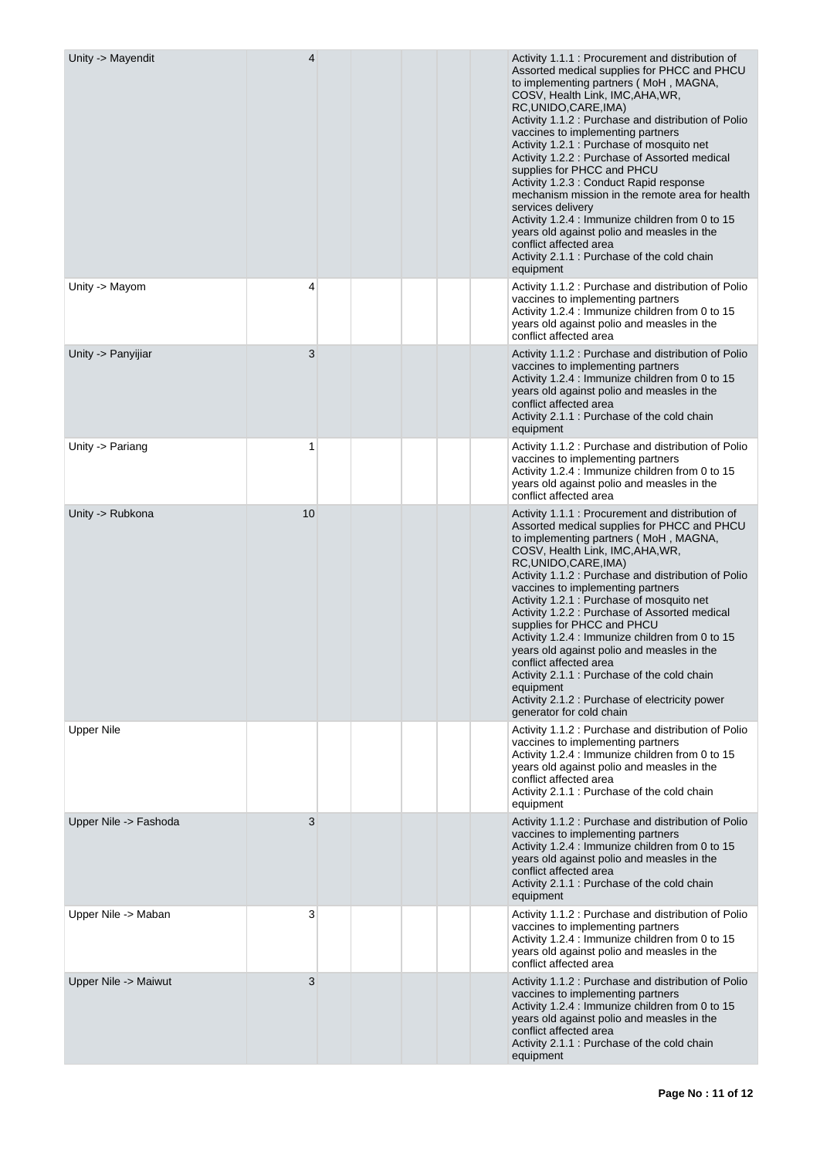| Unity -> Mayendit     | 4  |  | Activity 1.1.1 : Procurement and distribution of<br>Assorted medical supplies for PHCC and PHCU<br>to implementing partners (MoH, MAGNA,<br>COSV, Health Link, IMC, AHA, WR,<br>RC, UNIDO, CARE, IMA)<br>Activity 1.1.2 : Purchase and distribution of Polio<br>vaccines to implementing partners<br>Activity 1.2.1 : Purchase of mosquito net<br>Activity 1.2.2 : Purchase of Assorted medical<br>supplies for PHCC and PHCU<br>Activity 1.2.3 : Conduct Rapid response<br>mechanism mission in the remote area for health<br>services delivery<br>Activity 1.2.4 : Immunize children from 0 to 15<br>years old against polio and measles in the<br>conflict affected area<br>Activity 2.1.1 : Purchase of the cold chain<br>equipment |
|-----------------------|----|--|-----------------------------------------------------------------------------------------------------------------------------------------------------------------------------------------------------------------------------------------------------------------------------------------------------------------------------------------------------------------------------------------------------------------------------------------------------------------------------------------------------------------------------------------------------------------------------------------------------------------------------------------------------------------------------------------------------------------------------------------|
| Unity -> Mayom        | 4  |  | Activity 1.1.2 : Purchase and distribution of Polio<br>vaccines to implementing partners<br>Activity 1.2.4 : Immunize children from 0 to 15<br>years old against polio and measles in the<br>conflict affected area                                                                                                                                                                                                                                                                                                                                                                                                                                                                                                                     |
| Unity -> Panyijiar    | 3  |  | Activity 1.1.2 : Purchase and distribution of Polio<br>vaccines to implementing partners<br>Activity 1.2.4 : Immunize children from 0 to 15<br>years old against polio and measles in the<br>conflict affected area<br>Activity 2.1.1 : Purchase of the cold chain<br>equipment                                                                                                                                                                                                                                                                                                                                                                                                                                                         |
| Unity -> Pariang      | 1  |  | Activity 1.1.2 : Purchase and distribution of Polio<br>vaccines to implementing partners<br>Activity 1.2.4 : Immunize children from 0 to 15<br>years old against polio and measles in the<br>conflict affected area                                                                                                                                                                                                                                                                                                                                                                                                                                                                                                                     |
| Unity -> Rubkona      | 10 |  | Activity 1.1.1 : Procurement and distribution of<br>Assorted medical supplies for PHCC and PHCU<br>to implementing partners (MoH, MAGNA,<br>COSV, Health Link, IMC, AHA, WR,<br>RC, UNIDO, CARE, IMA)<br>Activity 1.1.2 : Purchase and distribution of Polio<br>vaccines to implementing partners<br>Activity 1.2.1 : Purchase of mosquito net<br>Activity 1.2.2 : Purchase of Assorted medical<br>supplies for PHCC and PHCU<br>Activity 1.2.4 : Immunize children from 0 to 15<br>years old against polio and measles in the<br>conflict affected area<br>Activity 2.1.1 : Purchase of the cold chain<br>equipment<br>Activity 2.1.2 : Purchase of electricity power<br>generator for cold chain                                      |
| <b>Upper Nile</b>     |    |  | Activity 1.1.2 : Purchase and distribution of Polio<br>vaccines to implementing partners<br>Activity 1.2.4 : Immunize children from 0 to 15<br>years old against polio and measles in the<br>conflict affected area<br>Activity 2.1.1 : Purchase of the cold chain<br>equipment                                                                                                                                                                                                                                                                                                                                                                                                                                                         |
| Upper Nile -> Fashoda | 3  |  | Activity 1.1.2 : Purchase and distribution of Polio<br>vaccines to implementing partners<br>Activity 1.2.4 : Immunize children from 0 to 15<br>years old against polio and measles in the<br>conflict affected area<br>Activity 2.1.1 : Purchase of the cold chain<br>equipment                                                                                                                                                                                                                                                                                                                                                                                                                                                         |
| Upper Nile -> Maban   | 3  |  | Activity 1.1.2 : Purchase and distribution of Polio<br>vaccines to implementing partners<br>Activity 1.2.4 : Immunize children from 0 to 15<br>years old against polio and measles in the<br>conflict affected area                                                                                                                                                                                                                                                                                                                                                                                                                                                                                                                     |
| Upper Nile -> Maiwut  | 3  |  | Activity 1.1.2 : Purchase and distribution of Polio<br>vaccines to implementing partners<br>Activity 1.2.4 : Immunize children from 0 to 15<br>years old against polio and measles in the<br>conflict affected area<br>Activity 2.1.1 : Purchase of the cold chain<br>equipment                                                                                                                                                                                                                                                                                                                                                                                                                                                         |